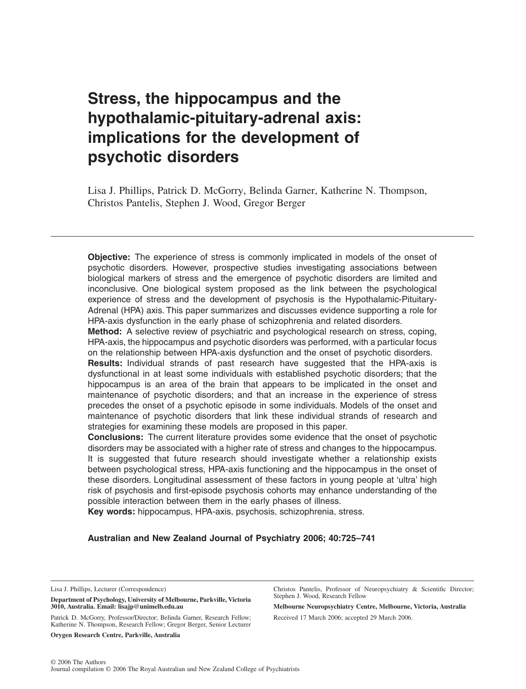# **Stress, the hippocampus and the hypothalamic-pituitary-adrenal axis: implications for the development of psychotic disorders**

Lisa J. Phillips, Patrick D. McGorry, Belinda Garner, Katherine N. Thompson, Christos Pantelis, Stephen J. Wood, Gregor Berger

**Objective:** The experience of stress is commonly implicated in models of the onset of psychotic disorders. However, prospective studies investigating associations between biological markers of stress and the emergence of psychotic disorders are limited and inconclusive. One biological system proposed as the link between the psychological experience of stress and the development of psychosis is the Hypothalamic-Pituitary-Adrenal (HPA) axis. This paper summarizes and discusses evidence supporting a role for HPA-axis dysfunction in the early phase of schizophrenia and related disorders.

**Method:** A selective review of psychiatric and psychological research on stress, coping, HPA-axis, the hippocampus and psychotic disorders was performed, with a particular focus on the relationship between HPA-axis dysfunction and the onset of psychotic disorders.

**Results:** Individual strands of past research have suggested that the HPA-axis is dysfunctional in at least some individuals with established psychotic disorders; that the hippocampus is an area of the brain that appears to be implicated in the onset and maintenance of psychotic disorders; and that an increase in the experience of stress precedes the onset of a psychotic episode in some individuals. Models of the onset and maintenance of psychotic disorders that link these individual strands of research and strategies for examining these models are proposed in this paper.

**Conclusions:** The current literature provides some evidence that the onset of psychotic disorders may be associated with a higher rate of stress and changes to the hippocampus. It is suggested that future research should investigate whether a relationship exists between psychological stress, HPA-axis functioning and the hippocampus in the onset of these disorders. Longitudinal assessment of these factors in young people at 'ultra' high risk of psychosis and first-episode psychosis cohorts may enhance understanding of the possible interaction between them in the early phases of illness.

**Key words:** hippocampus, HPA-axis, psychosis, schizophrenia, stress.

# **Australian and New Zealand Journal of Psychiatry 2006; 40:725–741**

Lisa J. Phillips, Lecturer (Correspondence)

**Department of Psychology, University of Melbourne, Parkville, Victoria 3010, Australia. Email: lisajp@unimelb.edu.au**

Patrick D. McGorry, Professor/Director; Belinda Garner, Research Fellow; Katherine N. Thompson, Research Fellow; Gregor Berger, Senior Lecturer

**Orygen Research Centre, Parkville, Australia**

Christos Pantelis, Professor of Neuropsychiatry & Scientific Director; Stephen J. Wood, Research Fellow

**Melbourne Neuropsychiatry Centre, Melbourne, Victoria, Australia** Received 17 March 2006; accepted 29 March 2006.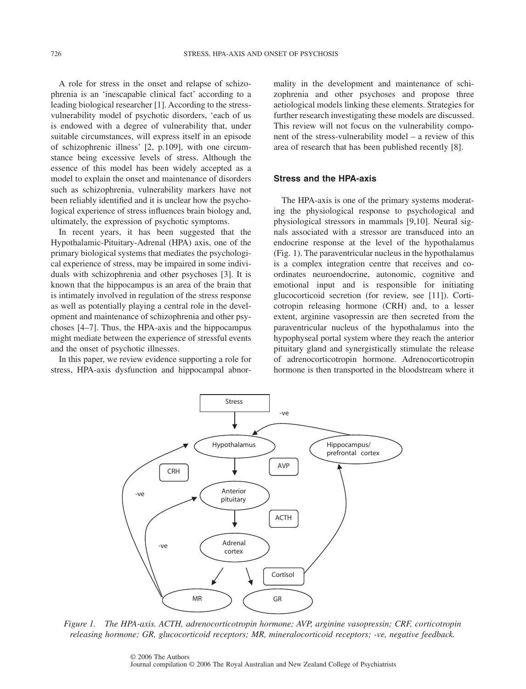A role for stress in the onset and relapse of schizophrenia is an 'inescapable clinical fact' according to a leading biological researcher [1]. According to the stressvulnerability model of psychotic disorders, 'each of us is endowed with a degree of vulnerability that, under suitable circumstances, will express itself in an episode of schizophrenic illness' [2, p.109], with one circumstance being excessive levels of stress. Although the essence of this model has been widely accepted as a model to explain the onset and maintenance of disorders such as schizophrenia, vulnerability markers have not been reliably identified and it is unclear how the psychological experience of stress influences brain biology and, ultimately, the expression of psychotic symptoms.

In recent years, it has been suggested that the Hypothalamic-Pituitary-Adrenal (HPA) axis, one of the primary biological systems that mediates the psychological experience of stress, may be impaired in some individuals with schizophrenia and other psychoses [3]. It is known that the hippocampus is an area of the brain that is intimately involved in regulation of the stress response as well as potentially playing a central role in the development and maintenance of schizophrenia and other psychoses [4–7]. Thus, the HPA-axis and the hippocampus might mediate between the experience of stressful events and the onset of psychotic illnesses.

In this paper, we review evidence supporting a role for stress, HPA-axis dysfunction and hippocampal abnormality in the development and maintenance of schizophrenia and other psychoses and propose three aetiological models linking these elements. Strategies for further research investigating these models are discussed. This review will not focus on the vulnerability component of the stress-vulnerability model – a review of this area of research that has been published recently [8].

#### **Stress and the HPA-axis**

The HPA-axis is one of the primary systems moderating the physiological response to psychological and physiological stressors in mammals [9,10]. Neural signals associated with a stressor are transduced into an endocrine response at the level of the hypothalamus (Fig. 1). The paraventricular nucleus in the hypothalamus is a complex integration centre that receives and coordinates neuroendocrine, autonomic, cognitive and emotional input and is responsible for initiating glucocorticoid secretion (for review, see [11]). Corticotropin releasing hormone (CRH) and, to a lesser extent, arginine vasopressin are then secreted from the paraventricular nucleus of the hypothalamus into the hypophyseal portal system where they reach the anterior pituitary gland and synergistically stimulate the release of adrenocorticotropin hormone. Adrenocorticotropin hormone is then transported in the bloodstream where it



*Figure 1. The HPA-axis. ACTH, adrenocorticotropin hormone; AVP, arginine vasopressin; CRF, corticotropin releasing hormone; GR, glucocorticoid receptors; MR, mineralocorticoid receptors; -ve, negative feedback.*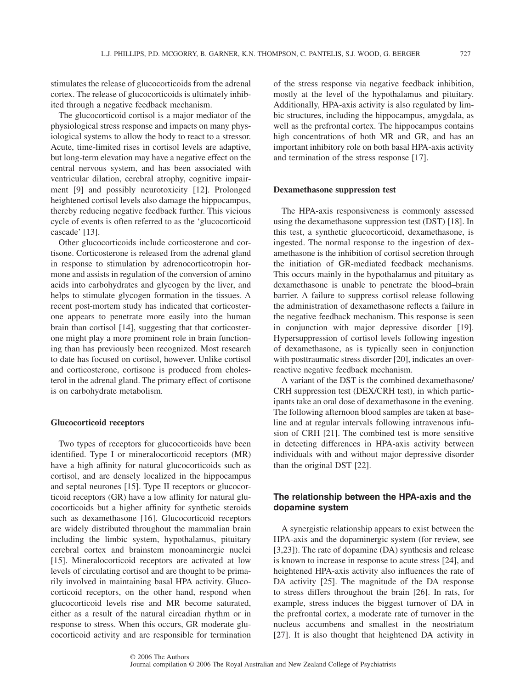stimulates the release of glucocorticoids from the adrenal cortex. The release of glucocorticoids is ultimately inhibited through a negative feedback mechanism.

The glucocorticoid cortisol is a major mediator of the physiological stress response and impacts on many physiological systems to allow the body to react to a stressor. Acute, time-limited rises in cortisol levels are adaptive, but long-term elevation may have a negative effect on the central nervous system, and has been associated with ventricular dilation, cerebral atrophy, cognitive impairment [9] and possibly neurotoxicity [12]. Prolonged heightened cortisol levels also damage the hippocampus, thereby reducing negative feedback further. This vicious cycle of events is often referred to as the 'glucocorticoid cascade' [13].

Other glucocorticoids include corticosterone and cortisone. Corticosterone is released from the adrenal gland in response to stimulation by adrenocorticotropin hormone and assists in regulation of the conversion of amino acids into carbohydrates and glycogen by the liver, and helps to stimulate glycogen formation in the tissues. A recent post-mortem study has indicated that corticosterone appears to penetrate more easily into the human brain than cortisol [14], suggesting that that corticosterone might play a more prominent role in brain functioning than has previously been recognized. Most research to date has focused on cortisol, however. Unlike cortisol and corticosterone, cortisone is produced from cholesterol in the adrenal gland. The primary effect of cortisone is on carbohydrate metabolism.

# **Glucocorticoid receptors**

Two types of receptors for glucocorticoids have been identified. Type I or mineralocorticoid receptors (MR) have a high affinity for natural glucocorticoids such as cortisol, and are densely localized in the hippocampus and septal neurones [15]. Type II receptors or glucocorticoid receptors (GR) have a low affinity for natural glucocorticoids but a higher affinity for synthetic steroids such as dexamethasone [16]. Glucocorticoid receptors are widely distributed throughout the mammalian brain including the limbic system, hypothalamus, pituitary cerebral cortex and brainstem monoaminergic nuclei [15]. Mineralocorticoid receptors are activated at low levels of circulating cortisol and are thought to be primarily involved in maintaining basal HPA activity. Glucocorticoid receptors, on the other hand, respond when glucocorticoid levels rise and MR become saturated, either as a result of the natural circadian rhythm or in response to stress. When this occurs, GR moderate glucocorticoid activity and are responsible for termination of the stress response via negative feedback inhibition, mostly at the level of the hypothalamus and pituitary. Additionally, HPA-axis activity is also regulated by limbic structures, including the hippocampus, amygdala, as well as the prefrontal cortex. The hippocampus contains high concentrations of both MR and GR, and has an important inhibitory role on both basal HPA-axis activity and termination of the stress response [17].

## **Dexamethasone suppression test**

The HPA-axis responsiveness is commonly assessed using the dexamethasone suppression test (DST) [18]. In this test, a synthetic glucocorticoid, dexamethasone, is ingested. The normal response to the ingestion of dexamethasone is the inhibition of cortisol secretion through the initiation of GR-mediated feedback mechanisms. This occurs mainly in the hypothalamus and pituitary as dexamethasone is unable to penetrate the blood–brain barrier. A failure to suppress cortisol release following the administration of dexamethasone reflects a failure in the negative feedback mechanism. This response is seen in conjunction with major depressive disorder [19]. Hypersuppression of cortisol levels following ingestion of dexamethasone, as is typically seen in conjunction with posttraumatic stress disorder [20], indicates an overreactive negative feedback mechanism.

A variant of the DST is the combined dexamethasone/ CRH suppression test (DEX/CRH test), in which participants take an oral dose of dexamethasone in the evening. The following afternoon blood samples are taken at baseline and at regular intervals following intravenous infusion of CRH [21]. The combined test is more sensitive in detecting differences in HPA-axis activity between individuals with and without major depressive disorder than the original DST [22].

# **The relationship between the HPA-axis and the dopamine system**

A synergistic relationship appears to exist between the HPA-axis and the dopaminergic system (for review, see [3,23]). The rate of dopamine (DA) synthesis and release is known to increase in response to acute stress [24], and heightened HPA-axis activity also influences the rate of DA activity [25]. The magnitude of the DA response to stress differs throughout the brain [26]. In rats, for example, stress induces the biggest turnover of DA in the prefrontal cortex, a moderate rate of turnover in the nucleus accumbens and smallest in the neostriatum [27]. It is also thought that heightened DA activity in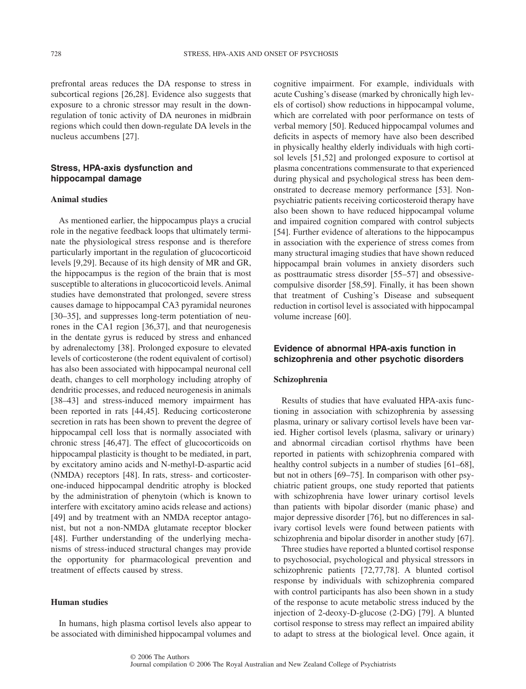prefrontal areas reduces the DA response to stress in subcortical regions [26,28]. Evidence also suggests that exposure to a chronic stressor may result in the downregulation of tonic activity of DA neurones in midbrain regions which could then down-regulate DA levels in the nucleus accumbens [27].

# **Stress, HPA-axis dysfunction and hippocampal damage**

#### **Animal studies**

As mentioned earlier, the hippocampus plays a crucial role in the negative feedback loops that ultimately terminate the physiological stress response and is therefore particularly important in the regulation of glucocorticoid levels [9,29]. Because of its high density of MR and GR, the hippocampus is the region of the brain that is most susceptible to alterations in glucocorticoid levels. Animal studies have demonstrated that prolonged, severe stress causes damage to hippocampal CA3 pyramidal neurones [30–35], and suppresses long-term potentiation of neurones in the CA1 region [36,37], and that neurogenesis in the dentate gyrus is reduced by stress and enhanced by adrenalectomy [38]. Prolonged exposure to elevated levels of corticosterone (the rodent equivalent of cortisol) has also been associated with hippocampal neuronal cell death, changes to cell morphology including atrophy of dendritic processes, and reduced neurogenesis in animals [38–43] and stress-induced memory impairment has been reported in rats [44,45]. Reducing corticosterone secretion in rats has been shown to prevent the degree of hippocampal cell loss that is normally associated with chronic stress [46,47]. The effect of glucocorticoids on hippocampal plasticity is thought to be mediated, in part, by excitatory amino acids and N-methyl-D-aspartic acid (NMDA) receptors [48]. In rats, stress- and corticosterone-induced hippocampal dendritic atrophy is blocked by the administration of phenytoin (which is known to interfere with excitatory amino acids release and actions) [49] and by treatment with an NMDA receptor antagonist, but not a non-NMDA glutamate receptor blocker [48]. Further understanding of the underlying mechanisms of stress-induced structural changes may provide the opportunity for pharmacological prevention and treatment of effects caused by stress.

### **Human studies**

In humans, high plasma cortisol levels also appear to be associated with diminished hippocampal volumes and cognitive impairment. For example, individuals with acute Cushing's disease (marked by chronically high levels of cortisol) show reductions in hippocampal volume, which are correlated with poor performance on tests of verbal memory [50]. Reduced hippocampal volumes and deficits in aspects of memory have also been described in physically healthy elderly individuals with high cortisol levels [51,52] and prolonged exposure to cortisol at plasma concentrations commensurate to that experienced during physical and psychological stress has been demonstrated to decrease memory performance [53]. Nonpsychiatric patients receiving corticosteroid therapy have also been shown to have reduced hippocampal volume and impaired cognition compared with control subjects [54]. Further evidence of alterations to the hippocampus in association with the experience of stress comes from many structural imaging studies that have shown reduced hippocampal brain volumes in anxiety disorders such as posttraumatic stress disorder [55–57] and obsessivecompulsive disorder [58,59]. Finally, it has been shown that treatment of Cushing's Disease and subsequent reduction in cortisol level is associated with hippocampal volume increase [60].

# **Evidence of abnormal HPA-axis function in schizophrenia and other psychotic disorders**

# **Schizophrenia**

Results of studies that have evaluated HPA-axis functioning in association with schizophrenia by assessing plasma, urinary or salivary cortisol levels have been varied. Higher cortisol levels (plasma, salivary or urinary) and abnormal circadian cortisol rhythms have been reported in patients with schizophrenia compared with healthy control subjects in a number of studies [61–68], but not in others [69–75]. In comparison with other psychiatric patient groups, one study reported that patients with schizophrenia have lower urinary cortisol levels than patients with bipolar disorder (manic phase) and major depressive disorder [76], but no differences in salivary cortisol levels were found between patients with schizophrenia and bipolar disorder in another study [67].

Three studies have reported a blunted cortisol response to psychosocial, psychological and physical stressors in schizophrenic patients [72,77,78]. A blunted cortisol response by individuals with schizophrenia compared with control participants has also been shown in a study of the response to acute metabolic stress induced by the injection of 2-deoxy-D-glucose (2-DG) [79]. A blunted cortisol response to stress may reflect an impaired ability to adapt to stress at the biological level. Once again, it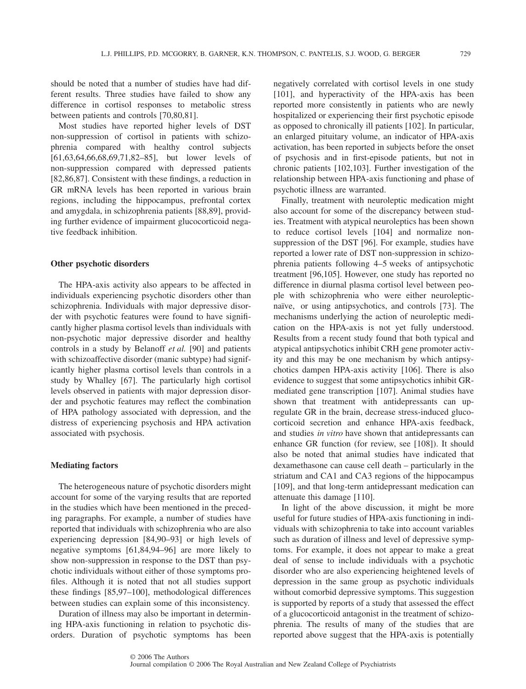should be noted that a number of studies have had different results. Three studies have failed to show any difference in cortisol responses to metabolic stress between patients and controls [70,80,81].

Most studies have reported higher levels of DST non-suppression of cortisol in patients with schizophrenia compared with healthy control subjects [61,63,64,66,68,69,71,82–85], but lower levels of non-suppression compared with depressed patients [82,86,87]. Consistent with these findings, a reduction in GR mRNA levels has been reported in various brain regions, including the hippocampus, prefrontal cortex and amygdala, in schizophrenia patients [88,89], providing further evidence of impairment glucocorticoid negative feedback inhibition.

## **Other psychotic disorders**

The HPA-axis activity also appears to be affected in individuals experiencing psychotic disorders other than schizophrenia. Individuals with major depressive disorder with psychotic features were found to have significantly higher plasma cortisol levels than individuals with non-psychotic major depressive disorder and healthy controls in a study by Belanoff *et al.* [90] and patients with schizoaffective disorder (manic subtype) had significantly higher plasma cortisol levels than controls in a study by Whalley [67]. The particularly high cortisol levels observed in patients with major depression disorder and psychotic features may reflect the combination of HPA pathology associated with depression, and the distress of experiencing psychosis and HPA activation associated with psychosis.

# **Mediating factors**

The heterogeneous nature of psychotic disorders might account for some of the varying results that are reported in the studies which have been mentioned in the preceding paragraphs. For example, a number of studies have reported that individuals with schizophrenia who are also experiencing depression [84,90–93] or high levels of negative symptoms [61,84,94–96] are more likely to show non-suppression in response to the DST than psychotic individuals without either of those symptoms profiles. Although it is noted that not all studies support these findings [85,97–100], methodological differences between studies can explain some of this inconsistency.

Duration of illness may also be important in determining HPA-axis functioning in relation to psychotic disorders. Duration of psychotic symptoms has been negatively correlated with cortisol levels in one study [101], and hyperactivity of the HPA-axis has been reported more consistently in patients who are newly hospitalized or experiencing their first psychotic episode as opposed to chronically ill patients [102]. In particular, an enlarged pituitary volume, an indicator of HPA-axis activation, has been reported in subjects before the onset of psychosis and in first-episode patients, but not in chronic patients [102,103]. Further investigation of the relationship between HPA-axis functioning and phase of psychotic illness are warranted.

Finally, treatment with neuroleptic medication might also account for some of the discrepancy between studies. Treatment with atypical neuroleptics has been shown to reduce cortisol levels [104] and normalize nonsuppression of the DST [96]. For example, studies have reported a lower rate of DST non-suppression in schizophrenia patients following 4–5 weeks of antipsychotic treatment [96,105]. However, one study has reported no difference in diurnal plasma cortisol level between people with schizophrenia who were either neurolepticnaïve, or using antipsychotics, and controls [73]. The mechanisms underlying the action of neuroleptic medication on the HPA-axis is not yet fully understood. Results from a recent study found that both typical and atypical antipsychotics inhibit CRH gene promoter activity and this may be one mechanism by which antipsychotics dampen HPA-axis activity [106]. There is also evidence to suggest that some antipsychotics inhibit GRmediated gene transcription [107]. Animal studies have shown that treatment with antidepressants can upregulate GR in the brain, decrease stress-induced glucocorticoid secretion and enhance HPA-axis feedback, and studies *in vitro* have shown that antidepressants can enhance GR function (for review, see [108]). It should also be noted that animal studies have indicated that dexamethasone can cause cell death – particularly in the striatum and CA1 and CA3 regions of the hippocampus [109], and that long-term antidepressant medication can attenuate this damage [110].

In light of the above discussion, it might be more useful for future studies of HPA-axis functioning in individuals with schizophrenia to take into account variables such as duration of illness and level of depressive symptoms. For example, it does not appear to make a great deal of sense to include individuals with a psychotic disorder who are also experiencing heightened levels of depression in the same group as psychotic individuals without comorbid depressive symptoms. This suggestion is supported by reports of a study that assessed the effect of a glucocorticoid antagonist in the treatment of schizophrenia. The results of many of the studies that are reported above suggest that the HPA-axis is potentially

Journal compilation © 2006 The Royal Australian and New Zealand College of Psychiatrists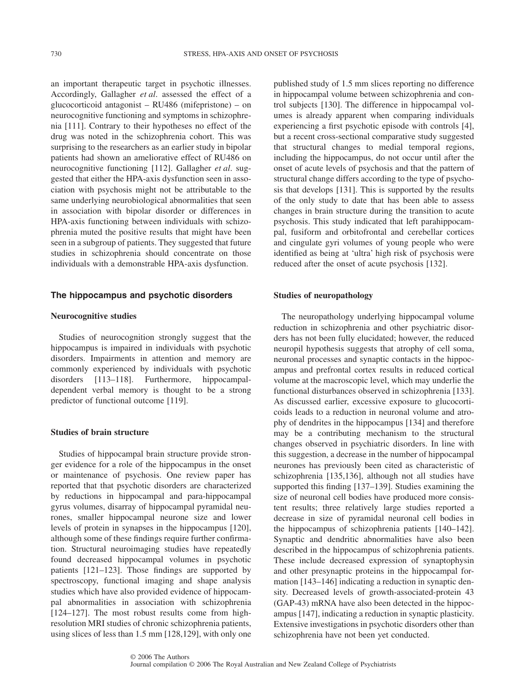an important therapeutic target in psychotic illnesses. Accordingly, Gallagher *et al*. assessed the effect of a glucocorticoid antagonist – RU486 (mifepristone) – on neurocognitive functioning and symptoms in schizophrenia [111]. Contrary to their hypotheses no effect of the drug was noted in the schizophrenia cohort. This was surprising to the researchers as an earlier study in bipolar patients had shown an ameliorative effect of RU486 on neurocognitive functioning [112]. Gallagher *et al*. suggested that either the HPA-axis dysfunction seen in association with psychosis might not be attributable to the same underlying neurobiological abnormalities that seen in association with bipolar disorder or differences in HPA-axis functioning between individuals with schizophrenia muted the positive results that might have been seen in a subgroup of patients. They suggested that future studies in schizophrenia should concentrate on those individuals with a demonstrable HPA-axis dysfunction.

#### **The hippocampus and psychotic disorders**

## **Neurocognitive studies**

Studies of neurocognition strongly suggest that the hippocampus is impaired in individuals with psychotic disorders. Impairments in attention and memory are commonly experienced by individuals with psychotic disorders [113–118]. Furthermore, hippocampaldependent verbal memory is thought to be a strong predictor of functional outcome [119].

#### **Studies of brain structure**

Studies of hippocampal brain structure provide stronger evidence for a role of the hippocampus in the onset or maintenance of psychosis. One review paper has reported that that psychotic disorders are characterized by reductions in hippocampal and para-hippocampal gyrus volumes, disarray of hippocampal pyramidal neurones, smaller hippocampal neurone size and lower levels of protein in synapses in the hippocampus [120], although some of these findings require further confirmation. Structural neuroimaging studies have repeatedly found decreased hippocampal volumes in psychotic patients [121–123]. Those findings are supported by spectroscopy, functional imaging and shape analysis studies which have also provided evidence of hippocampal abnormalities in association with schizophrenia [124–127]. The most robust results come from highresolution MRI studies of chronic schizophrenia patients, using slices of less than 1.5 mm [128,129], with only one published study of 1.5 mm slices reporting no difference in hippocampal volume between schizophrenia and control subjects [130]. The difference in hippocampal volumes is already apparent when comparing individuals experiencing a first psychotic episode with controls [4], but a recent cross-sectional comparative study suggested that structural changes to medial temporal regions, including the hippocampus, do not occur until after the onset of acute levels of psychosis and that the pattern of structural change differs according to the type of psychosis that develops [131]. This is supported by the results of the only study to date that has been able to assess changes in brain structure during the transition to acute psychosis. This study indicated that left parahippocampal, fusiform and orbitofrontal and cerebellar cortices and cingulate gyri volumes of young people who were identified as being at 'ultra' high risk of psychosis were reduced after the onset of acute psychosis [132].

#### **Studies of neuropathology**

The neuropathology underlying hippocampal volume reduction in schizophrenia and other psychiatric disorders has not been fully elucidated; however, the reduced neuropil hypothesis suggests that atrophy of cell soma, neuronal processes and synaptic contacts in the hippocampus and prefrontal cortex results in reduced cortical volume at the macroscopic level, which may underlie the functional disturbances observed in schizophrenia [133]. As discussed earlier, excessive exposure to glucocorticoids leads to a reduction in neuronal volume and atrophy of dendrites in the hippocampus [134] and therefore may be a contributing mechanism to the structural changes observed in psychiatric disorders. In line with this suggestion, a decrease in the number of hippocampal neurones has previously been cited as characteristic of schizophrenia [135,136], although not all studies have supported this finding [137–139]. Studies examining the size of neuronal cell bodies have produced more consistent results; three relatively large studies reported a decrease in size of pyramidal neuronal cell bodies in the hippocampus of schizophrenia patients [140–142]. Synaptic and dendritic abnormalities have also been described in the hippocampus of schizophrenia patients. These include decreased expression of synaptophysin and other presynaptic proteins in the hippocampal formation [143–146] indicating a reduction in synaptic density. Decreased levels of growth-associated-protein 43 (GAP-43) mRNA have also been detected in the hippocampus [147], indicating a reduction in synaptic plasticity. Extensive investigations in psychotic disorders other than schizophrenia have not been yet conducted.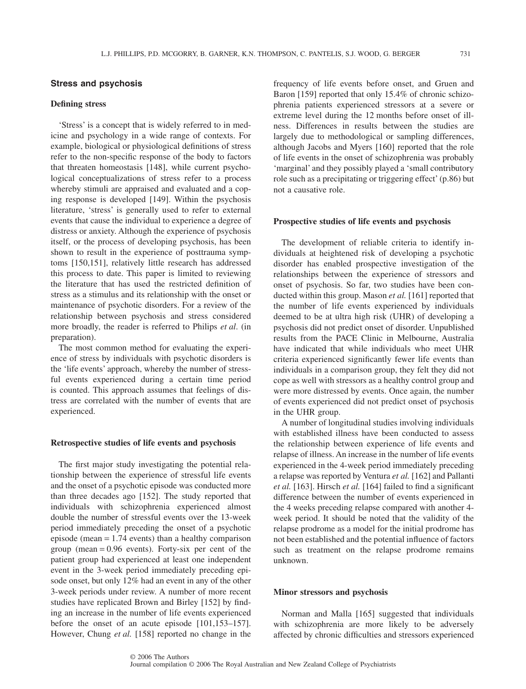#### **Stress and psychosis**

# **Defining stress**

'Stress' is a concept that is widely referred to in medicine and psychology in a wide range of contexts. For example, biological or physiological definitions of stress refer to the non-specific response of the body to factors that threaten homeostasis [148], while current psychological conceptualizations of stress refer to a process whereby stimuli are appraised and evaluated and a coping response is developed [149]. Within the psychosis literature, 'stress' is generally used to refer to external events that cause the individual to experience a degree of distress or anxiety. Although the experience of psychosis itself, or the process of developing psychosis, has been shown to result in the experience of posttrauma symptoms [150,151], relatively little research has addressed this process to date. This paper is limited to reviewing the literature that has used the restricted definition of stress as a stimulus and its relationship with the onset or maintenance of psychotic disorders. For a review of the relationship between psychosis and stress considered more broadly, the reader is referred to Philips *et al*. (in preparation).

The most common method for evaluating the experience of stress by individuals with psychotic disorders is the 'life events' approach, whereby the number of stressful events experienced during a certain time period is counted. This approach assumes that feelings of distress are correlated with the number of events that are experienced.

#### **Retrospective studies of life events and psychosis**

The first major study investigating the potential relationship between the experience of stressful life events and the onset of a psychotic episode was conducted more than three decades ago [152]. The study reported that individuals with schizophrenia experienced almost double the number of stressful events over the 13-week period immediately preceding the onset of a psychotic episode (mean = 1.74 events) than a healthy comparison group (mean  $= 0.96$  events). Forty-six per cent of the patient group had experienced at least one independent event in the 3-week period immediately preceding episode onset, but only 12% had an event in any of the other 3-week periods under review. A number of more recent studies have replicated Brown and Birley [152] by finding an increase in the number of life events experienced before the onset of an acute episode [101,153–157]. However, Chung *et al.* [158] reported no change in the

frequency of life events before onset, and Gruen and Baron [159] reported that only 15.4% of chronic schizophrenia patients experienced stressors at a severe or extreme level during the 12 months before onset of illness. Differences in results between the studies are largely due to methodological or sampling differences, although Jacobs and Myers [160] reported that the role of life events in the onset of schizophrenia was probably 'marginal' and they possibly played a 'small contributory role such as a precipitating or triggering effect'(p.86) but not a causative role.

#### **Prospective studies of life events and psychosis**

The development of reliable criteria to identify individuals at heightened risk of developing a psychotic disorder has enabled prospective investigation of the relationships between the experience of stressors and onset of psychosis. So far, two studies have been conducted within this group. Mason *et al.* [161] reported that the number of life events experienced by individuals deemed to be at ultra high risk (UHR) of developing a psychosis did not predict onset of disorder. Unpublished results from the PACE Clinic in Melbourne, Australia have indicated that while individuals who meet UHR criteria experienced significantly fewer life events than individuals in a comparison group, they felt they did not cope as well with stressors as a healthy control group and were more distressed by events. Once again, the number of events experienced did not predict onset of psychosis in the UHR group.

A number of longitudinal studies involving individuals with established illness have been conducted to assess the relationship between experience of life events and relapse of illness. An increase in the number of life events experienced in the 4-week period immediately preceding a relapse was reported by Ventura *et al.* [162] and Pallanti *et al.* [163]. Hirsch *et al.* [164] failed to find a significant difference between the number of events experienced in the 4 weeks preceding relapse compared with another 4 week period. It should be noted that the validity of the relapse prodrome as a model for the initial prodrome has not been established and the potential influence of factors such as treatment on the relapse prodrome remains unknown.

#### **Minor stressors and psychosis**

Norman and Malla [165] suggested that individuals with schizophrenia are more likely to be adversely affected by chronic difficulties and stressors experienced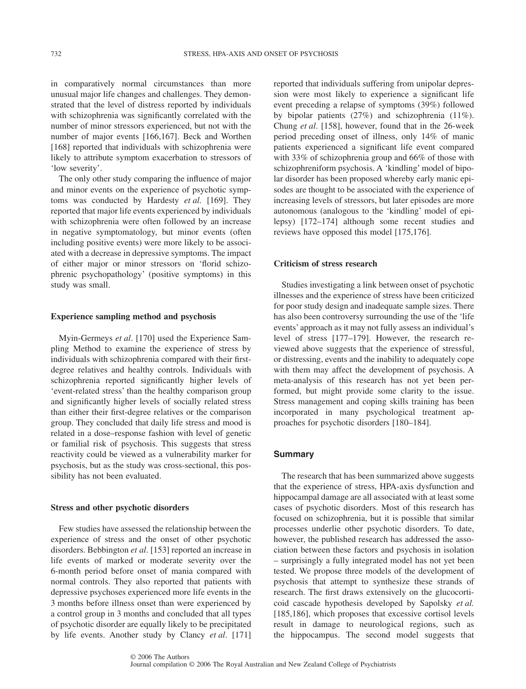in comparatively normal circumstances than more unusual major life changes and challenges. They demonstrated that the level of distress reported by individuals with schizophrenia was significantly correlated with the number of minor stressors experienced, but not with the number of major events [166,167]. Beck and Worthen [168] reported that individuals with schizophrenia were likely to attribute symptom exacerbation to stressors of 'low severity'.

The only other study comparing the influence of major and minor events on the experience of psychotic symptoms was conducted by Hardesty *et al.* [169]. They reported that major life events experienced by individuals with schizophrenia were often followed by an increase in negative symptomatology, but minor events (often including positive events) were more likely to be associated with a decrease in depressive symptoms. The impact of either major or minor stressors on 'florid schizophrenic psychopathology' (positive symptoms) in this study was small.

#### **Experience sampling method and psychosis**

Myin-Germeys *et al*. [170] used the Experience Sampling Method to examine the experience of stress by individuals with schizophrenia compared with their firstdegree relatives and healthy controls. Individuals with schizophrenia reported significantly higher levels of 'event-related stress' than the healthy comparison group and significantly higher levels of socially related stress than either their first-degree relatives or the comparison group. They concluded that daily life stress and mood is related in a dose–response fashion with level of genetic or familial risk of psychosis. This suggests that stress reactivity could be viewed as a vulnerability marker for psychosis, but as the study was cross-sectional, this possibility has not been evaluated.

#### **Stress and other psychotic disorders**

Few studies have assessed the relationship between the experience of stress and the onset of other psychotic disorders. Bebbington *et al*. [153] reported an increase in life events of marked or moderate severity over the 6-month period before onset of mania compared with normal controls. They also reported that patients with depressive psychoses experienced more life events in the 3 months before illness onset than were experienced by a control group in 3 months and concluded that all types of psychotic disorder are equally likely to be precipitated by life events. Another study by Clancy *et al*. [171] reported that individuals suffering from unipolar depression were most likely to experience a significant life event preceding a relapse of symptoms (39%) followed by bipolar patients (27%) and schizophrenia (11%). Chung *et al*. [158], however, found that in the 26-week period preceding onset of illness, only 14% of manic patients experienced a significant life event compared with 33% of schizophrenia group and 66% of those with schizophreniform psychosis. A 'kindling' model of bipolar disorder has been proposed whereby early manic episodes are thought to be associated with the experience of increasing levels of stressors, but later episodes are more autonomous (analogous to the 'kindling' model of epilepsy) [172–174] although some recent studies and reviews have opposed this model [175,176].

#### **Criticism of stress research**

Studies investigating a link between onset of psychotic illnesses and the experience of stress have been criticized for poor study design and inadequate sample sizes. There has also been controversy surrounding the use of the 'life events' approach as it may not fully assess an individual's level of stress [177–179]. However, the research reviewed above suggests that the experience of stressful, or distressing, events and the inability to adequately cope with them may affect the development of psychosis. A meta-analysis of this research has not yet been performed, but might provide some clarity to the issue. Stress management and coping skills training has been incorporated in many psychological treatment approaches for psychotic disorders [180–184].

# **Summary**

The research that has been summarized above suggests that the experience of stress, HPA-axis dysfunction and hippocampal damage are all associated with at least some cases of psychotic disorders. Most of this research has focused on schizophrenia, but it is possible that similar processes underlie other psychotic disorders. To date, however, the published research has addressed the association between these factors and psychosis in isolation – surprisingly a fully integrated model has not yet been tested. We propose three models of the development of psychosis that attempt to synthesize these strands of research. The first draws extensively on the glucocorticoid cascade hypothesis developed by Sapolsky *et al.* [185,186], which proposes that excessive cortisol levels result in damage to neurological regions, such as the hippocampus. The second model suggests that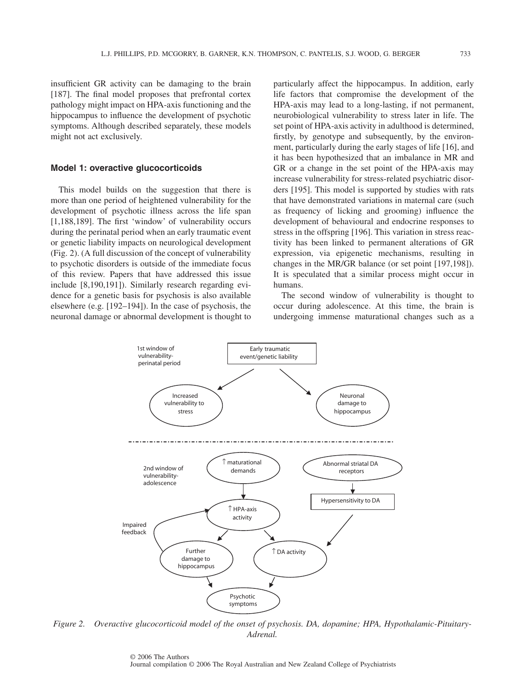insufficient GR activity can be damaging to the brain [187]. The final model proposes that prefrontal cortex pathology might impact on HPA-axis functioning and the hippocampus to influence the development of psychotic symptoms. Although described separately, these models might not act exclusively.

# **Model 1: overactive glucocorticoids**

This model builds on the suggestion that there is more than one period of heightened vulnerability for the development of psychotic illness across the life span [1,188,189]. The first 'window' of vulnerability occurs during the perinatal period when an early traumatic event or genetic liability impacts on neurological development (Fig. 2). (A full discussion of the concept of vulnerability to psychotic disorders is outside of the immediate focus of this review. Papers that have addressed this issue include [8,190,191]). Similarly research regarding evidence for a genetic basis for psychosis is also available elsewhere (e.g. [192–194]). In the case of psychosis, the neuronal damage or abnormal development is thought to particularly affect the hippocampus. In addition, early life factors that compromise the development of the HPA-axis may lead to a long-lasting, if not permanent, neurobiological vulnerability to stress later in life. The set point of HPA-axis activity in adulthood is determined, firstly, by genotype and subsequently, by the environment, particularly during the early stages of life [16], and it has been hypothesized that an imbalance in MR and GR or a change in the set point of the HPA-axis may increase vulnerability for stress-related psychiatric disorders [195]. This model is supported by studies with rats that have demonstrated variations in maternal care (such as frequency of licking and grooming) influence the development of behavioural and endocrine responses to stress in the offspring [196]. This variation in stress reactivity has been linked to permanent alterations of GR expression, via epigenetic mechanisms, resulting in changes in the MR/GR balance (or set point [197,198]). It is speculated that a similar process might occur in humans.

The second window of vulnerability is thought to occur during adolescence. At this time, the brain is undergoing immense maturational changes such as a



*Figure 2. Overactive glucocorticoid model of the onset of psychosis. DA, dopamine; HPA, Hypothalamic-Pituitary-Adrenal.*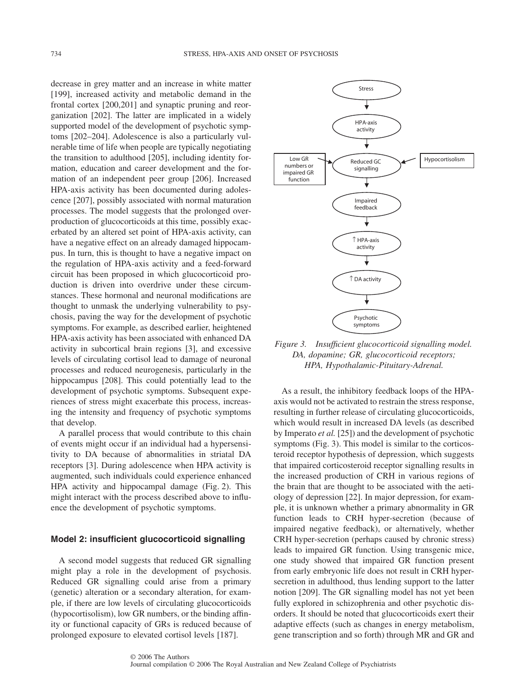decrease in grey matter and an increase in white matter [199], increased activity and metabolic demand in the frontal cortex [200,201] and synaptic pruning and reorganization [202]. The latter are implicated in a widely supported model of the development of psychotic symptoms [202–204]. Adolescence is also a particularly vulnerable time of life when people are typically negotiating the transition to adulthood [205], including identity formation, education and career development and the formation of an independent peer group [206]. Increased HPA-axis activity has been documented during adolescence [207], possibly associated with normal maturation processes. The model suggests that the prolonged overproduction of glucocorticoids at this time, possibly exacerbated by an altered set point of HPA-axis activity, can have a negative effect on an already damaged hippocampus. In turn, this is thought to have a negative impact on the regulation of HPA-axis activity and a feed-forward circuit has been proposed in which glucocorticoid production is driven into overdrive under these circumstances. These hormonal and neuronal modifications are thought to unmask the underlying vulnerability to psychosis, paving the way for the development of psychotic symptoms. For example, as described earlier, heightened HPA-axis activity has been associated with enhanced DA activity in subcortical brain regions [3], and excessive levels of circulating cortisol lead to damage of neuronal processes and reduced neurogenesis, particularly in the hippocampus [208]. This could potentially lead to the development of psychotic symptoms. Subsequent experiences of stress might exacerbate this process, increasing the intensity and frequency of psychotic symptoms that develop.

A parallel process that would contribute to this chain of events might occur if an individual had a hypersensitivity to DA because of abnormalities in striatal DA receptors [3]. During adolescence when HPA activity is augmented, such individuals could experience enhanced HPA activity and hippocampal damage (Fig. 2). This might interact with the process described above to influence the development of psychotic symptoms.

# **Model 2: insufficient glucocorticoid signalling**

A second model suggests that reduced GR signalling might play a role in the development of psychosis. Reduced GR signalling could arise from a primary (genetic) alteration or a secondary alteration, for example, if there are low levels of circulating glucocorticoids (hypocortisolism), low GR numbers, or the binding affinity or functional capacity of GRs is reduced because of prolonged exposure to elevated cortisol levels [187].



*Figure 3. Insufficient glucocorticoid signalling model. DA, dopamine; GR, glucocorticoid receptors; HPA, Hypothalamic-Pituitary-Adrenal.*

As a result, the inhibitory feedback loops of the HPAaxis would not be activated to restrain the stress response, resulting in further release of circulating glucocorticoids, which would result in increased DA levels (as described by Imperato *et al.* [25]) and the development of psychotic symptoms (Fig. 3). This model is similar to the corticosteroid receptor hypothesis of depression, which suggests that impaired corticosteroid receptor signalling results in the increased production of CRH in various regions of the brain that are thought to be associated with the aetiology of depression [22]. In major depression, for example, it is unknown whether a primary abnormality in GR function leads to CRH hyper-secretion (because of impaired negative feedback), or alternatively, whether CRH hyper-secretion (perhaps caused by chronic stress) leads to impaired GR function. Using transgenic mice, one study showed that impaired GR function present from early embryonic life does not result in CRH hypersecretion in adulthood, thus lending support to the latter notion [209]. The GR signalling model has not yet been fully explored in schizophrenia and other psychotic disorders. It should be noted that glucocorticoids exert their adaptive effects (such as changes in energy metabolism, gene transcription and so forth) through MR and GR and

© 2006 The Authors Journal compilation © 2006 The Royal Australian and New Zealand College of Psychiatrists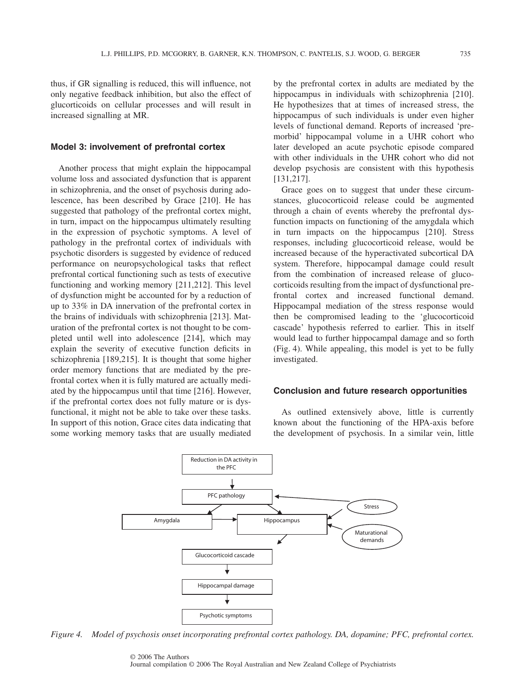thus, if GR signalling is reduced, this will influence, not only negative feedback inhibition, but also the effect of glucorticoids on cellular processes and will result in increased signalling at MR.

#### **Model 3: involvement of prefrontal cortex**

Another process that might explain the hippocampal volume loss and associated dysfunction that is apparent in schizophrenia, and the onset of psychosis during adolescence, has been described by Grace [210]. He has suggested that pathology of the prefrontal cortex might, in turn, impact on the hippocampus ultimately resulting in the expression of psychotic symptoms. A level of pathology in the prefrontal cortex of individuals with psychotic disorders is suggested by evidence of reduced performance on neuropsychological tasks that reflect prefrontal cortical functioning such as tests of executive functioning and working memory [211,212]. This level of dysfunction might be accounted for by a reduction of up to 33% in DA innervation of the prefrontal cortex in the brains of individuals with schizophrenia [213]. Maturation of the prefrontal cortex is not thought to be completed until well into adolescence [214], which may explain the severity of executive function deficits in schizophrenia [189,215]. It is thought that some higher order memory functions that are mediated by the prefrontal cortex when it is fully matured are actually mediated by the hippocampus until that time [216]. However, if the prefrontal cortex does not fully mature or is dysfunctional, it might not be able to take over these tasks. In support of this notion, Grace cites data indicating that some working memory tasks that are usually mediated by the prefrontal cortex in adults are mediated by the hippocampus in individuals with schizophrenia [210]. He hypothesizes that at times of increased stress, the hippocampus of such individuals is under even higher levels of functional demand. Reports of increased 'premorbid' hippocampal volume in a UHR cohort who later developed an acute psychotic episode compared with other individuals in the UHR cohort who did not develop psychosis are consistent with this hypothesis [131,217].

Grace goes on to suggest that under these circumstances, glucocorticoid release could be augmented through a chain of events whereby the prefrontal dysfunction impacts on functioning of the amygdala which in turn impacts on the hippocampus [210]. Stress responses, including glucocorticoid release, would be increased because of the hyperactivated subcortical DA system. Therefore, hippocampal damage could result from the combination of increased release of glucocorticoids resulting from the impact of dysfunctional prefrontal cortex and increased functional demand. Hippocampal mediation of the stress response would then be compromised leading to the 'glucocorticoid cascade' hypothesis referred to earlier. This in itself would lead to further hippocampal damage and so forth (Fig. 4). While appealing, this model is yet to be fully investigated.

#### **Conclusion and future research opportunities**

As outlined extensively above, little is currently known about the functioning of the HPA-axis before the development of psychosis. In a similar vein, little



*Figure 4. Model of psychosis onset incorporating prefrontal cortex pathology. DA, dopamine; PFC, prefrontal cortex.*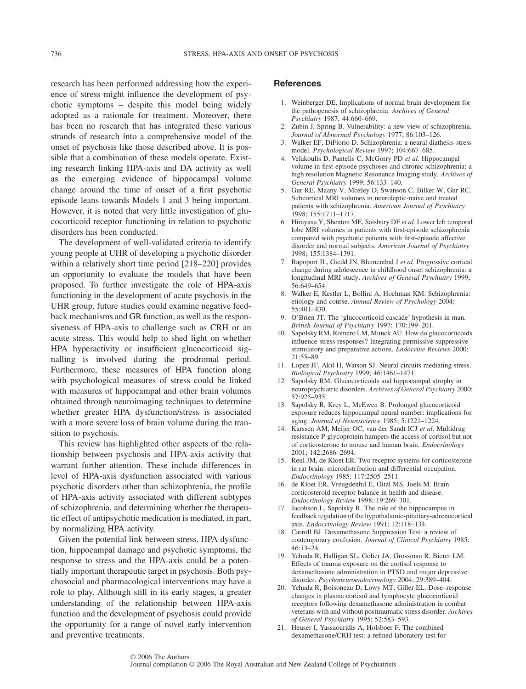research has been performed addressing how the experience of stress might influence the development of psychotic symptoms – despite this model being widely adopted as a rationale for treatment. Moreover, there has been no research that has integrated these various strands of research into a comprehensive model of the onset of psychosis like those described above. It is possible that a combination of these models operate. Existing research linking HPA-axis and DA activity as well as the emerging evidence of hippocampal volume change around the time of onset of a first psychotic episode leans towards Models 1 and 3 being important. However, it is noted that very little investigation of glucocorticoid receptor functioning in relation to psychotic disorders has been conducted.

The development of well-validated criteria to identify young people at UHR of developing a psychotic disorder within a relatively short time period [218–220] provides an opportunity to evaluate the models that have been proposed. To further investigate the role of HPA-axis functioning in the development of acute psychosis in the UHR group, future studies could examine negative feedback mechanisms and GR function, as well as the responsiveness of HPA-axis to challenge such as CRH or an acute stress. This would help to shed light on whether HPA hyperactivity or insufficient glucocorticoid signalling is involved during the prodromal period. Furthermore, these measures of HPA function along with psychological measures of stress could be linked with measures of hippocampal and other brain volumes obtained through neuroimaging techniques to determine whether greater HPA dysfunction/stress is associated with a more severe loss of brain volume during the transition to psychosis.

This review has highlighted other aspects of the relationship between psychosis and HPA-axis activity that warrant further attention. These include differences in level of HPA-axis dysfunction associated with various psychotic disorders other than schizophrenia, the profile of HPA-axis activity associated with different subtypes of schizophrenia, and determining whether the therapeutic effect of antipsychotic medication is mediated, in part, by normalizing HPA activity.

Given the potential link between stress, HPA dysfunction, hippocampal damage and psychotic symptoms, the response to stress and the HPA-axis could be a potentially important therapeutic target in psychosis. Both psychosocial and pharmacological interventions may have a role to play. Although still in its early stages, a greater understanding of the relationship between HPA-axis function and the development of psychosis could provide the opportunity for a range of novel early intervention and preventive treatments.

### **References**

- 1. Weinberger DE. Implications of normal brain development for the pathogenesis of schizophrenia. *Archives of General Psychiatry* 1987; 44:660–669.
- 2. Zubin J, Spring B. Vulnerability: a new view of schizophrenia. *Journal of Abnormal Psychology* 1977; 86:103–126.
- 3. Walker EF, DiFiorio D. Schizophrenia: a neural diathesis-stress model. *Psychological Review* 1997; 104:667–685.
- 4. Velakoulis D, Pantelis C, McGorry PD *et al.* Hippocampal volume in first-episode psychoses and chronic schizophrenia: a high resolution Magnetic Resonance Imaging study. *Archives of General Psychiatry* 1999; 56:133–140.
- 5. Gur RE, Maany V, Mozley D, Swanson C, Bilker W, Gur RC. Subcortical MRI volumes in neuroleptic-naive and treated patients with schizophrenia. *American Journal of Psychiatry* 1998; 155:1711–1717.
- 6. Hirayasu Y, Shenton ME, Saisbury DF *et al.* Lower left temporal lobe MRI volumes in patients with first-episode schizophrenia compared with psychotic patients with first-episode affective disorder and normal subjects. *American Journal of Psychiatry* 1998; 155:1384–1391.
- 7. Rapoport JL, Giedd JN, Blumenthal J *et al.* Progressive cortical change during adolescence in childhood onset schizophrenia: a longitudinal MRI study. *Archives of General Psychiatry* 1999; 56:649–654.
- 8. Walker E, Kestler L, Bollini A, Hochman KM. Schizophrenia: etiology and course. *Annual Review of Psychology* 2004; 55:401–430.
- 9. O'Brien JT. The 'glucocorticoid cascade' hypothesis in man. *British Journal of Psychiatry* 1997; 170:199–201.
- 10. Sapolsky RM, Romero LM, Munck AU. How do glucocorticoids influence stress responses? Integrating permissive suppressive stimulatory and preparative actions. *Endocrine Reviews* 2000; 21:55–89.
- 11. Lopez JF, Akil H, Watson SJ. Neural circuits mediating stress. *Biological Psychiatry* 1999; 46:1461–1471.
- 12. Sapolsky RM. Glucocorticoids and hippocampal atrophy in neuropsychiatric disorders. *Archives of General Psychiatry* 2000; 57:925–935.
- 13. Sapolsky R, Krey L, McEwen B. Prolonged glucocorticoid exposure reduces hippocampal neural number: implications for aging. *Journal of Neuroscience* 1985; 5:1221–1224.
- 14. Karssen AM, Meijer OC, van der Sandt ICJ *et al.* Multidrug resistance P-glycoprotein hampers the access of cortisol but not of corticosterone to mouse and human brain. *Endocrinology* 2001; 142:2686–2694.
- 15. Reul JM, de Kloet ER. Two receptor systems for corticosterone in rat brain: microdistribution and differential occupation. *Endocrinology* 1985; 117:2505–2511.
- 16. de Kloet ER, Vreugdenhil E, Oitzl MS, Joels M. Brain corticosteroid receptor balance in health and disease. *Endocrinology Review* 1998; 19:269–301.
- 17. Jacobson L, Sapolsky R. The role of the hippocampus in feedback regulation of the hypothalamic-pituitary-adrenocortical axis. *Endocrinology Review* 1991; 12:118–134.
- 18. Carroll BJ. Dexamethasone Suppression Test: a review of contemporary confusion. *Journal of Clinical Psychiatry* 1985; 46:13–24.
- 19. Yehuda R, Halligan SL, Golier JA, Grossman R, Bierer LM. Effects of trauma exposure on the cortisol response to dexamethasone administration in PTSD and major depressive disorder. *Psychoneuroendocrinology* 2004; 29:389–404.
- Yehuda R, Boisoneau D, Lowy MT, Giller EL. Dose–response changes in plasma cortisol and lymphocyte glucocorticoid receptors following dexamethasone administration in combat veterans with and without posttraumatic stress disorder. *Archives of General Psychiatry* 1995; 52:583–593.
- 21. Heuser I, Yassaouridis A, Holsboer F. The combined dexamethasone/CRH test: a refined laboratory test for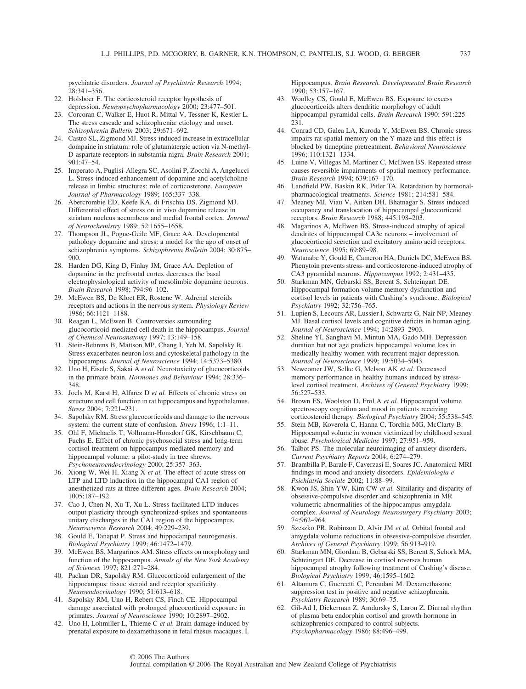psychiatric disorders. *Journal of Psychiatric Research* 1994; 28:341–356.

- 22. Holsboer F. The corticosteroid receptor hypothesis of depression. *Neuropsychopharmacology* 2000; 23:477–501.
- 23. Corcoran C, Walker E, Huot R, Mittal V, Tessner K, Kestler L. The stress cascade and schizophrenia: etiology and onset. *Schizophrenia Bulletin* 2003; 29:671–692.
- 24. Castro SL, Zigmond MJ. Stress-induced increase in extracellular dompaine in striatum: role of glutamatergic action via N-methyl-D-aspartate receptors in substantia nigra. *Brain Research* 2001; 901:47–54.
- 25. Imperato A, Puglisi-Allegra SC, Asolini P, Zocchi A, Angelucci L. Stress-induced enhancement of dopamine and acetylcholine release in limbic structures: role of corticosterone. *European Journal of Pharmacology* 1989; 165:337–338.
- 26. Abercrombie ED, Keefe KA, di Frischia DS, Zigmond MJ. Differential effect of stress on in vivo dopamine release in striatum nucleus accumbens and medial frontal cortex. *Journal of Neurochemistry* 1989; 52:1655–1658.
- 27. Thompson JL, Pogue-Geile MF, Grace AA. Developmental pathology dopamine and stress: a model for the ago of onset of schizophrenia symptoms. *Schizophrenia Bulletin* 2004; 30:875– 900.
- 28. Harden DG, King D, Finlay JM, Grace AA. Depletion of dopamine in the prefrontal cortex decreases the basal electrophysiological activity of mesolimbic dopamine neurons. *Brain Research* 1998; 794:96–102.
- 29. McEwen BS, De Kloet ER, Rostene W. Adrenal steroids receptors and actions in the nervous system. *Physiology Review* 1986; 66:1121–1188.
- 30. Reagan L, McEwen B. Controversies surrounding glucocorticoid-mediated cell death in the hippocampus. *Journal of Chemical Neuroanatomy* 1997; 13:149–158.
- 31. Stein-Behrens B, Mattson MP, Chang I, Yeh M, Sapolsky R. Stress exacerbates neuron loss and cytoskeletal pathology in the hippocampus. *Journal of Neuroscience* 1994; 14:5373–5380.
- 32. Uno H, Eisele S, Sakai A *et al.* Neurotoxicity of glucocorticoids in the primate brain. *Hormones and Behaviour* 1994; 28:336– 348.
- 33. Joels M, Karst H, Alfarez D *et al.* Effects of chronic stress on structure and cell function in rat hippocampus and hypothalamus. *Stress* 2004; 7:221–231.
- 34. Sapolsky RM. Stress glucocorticoids and damage to the nervous system: the current state of confusion. *Stress* 1996; 1:1–11.
- 35. Ohl F, Michaelis T, Vollmann-Honsdorf GK, Kirschbaum C, Fuchs E. Effect of chronic psychosocial stress and long-term cortisol treatment on hippocampus-mediated memory and hippocampal volume: a pilot-study in tree shrews. *Psychoneuroendocrinology* 2000; 25:357–363.
- 36. Xiong W, Wei H, Xiang X *et al.* The effect of acute stress on LTP and LTD induction in the hippocampal CA1 region of anesthetized rats at three different ages. *Brain Research* 2004; 1005:187–192.
- 37. Cao J, Chen N, Xu T, Xu L. Stress-facilitated LTD induces output plasticity through synchronized-spikes and spontaneous unitary discharges in the CA1 region of the hippocampus. *Neuroscience Research* 2004; 49:229–239.
- 38. Gould E, Tanapat P. Stress and hippocampal neurogenesis. *Biological Psychiatry* 1999; 46:1472–1479.
- 39. McEwen BS, Margarinos AM. Stress effects on morphology and function of the hippocampus. *Annals of the New York Academy of Sciences* 1997; 821:271–284.
- 40. Packan DR, Sapolsky RM. Glucocorticoid enlargement of the hippocampus: tissue steroid and receptor specificity. *Neuroendocrinology* 1990; 51:613–618.
- 41. Sapolsky RM, Uno H, Rebert CS, Finch CE. Hippocampal damage associated with prolonged glucocorticoid exposure in primates. *Journal of Neuroscience* 1990; 10:2897–2902.
- 42. Uno H, Lohmiller L, Thieme C *et al.* Brain damage induced by prenatal exposure to dexamethasone in fetal rhesus macaques. I.

© 2006 The Authors

Hippocampus. *Brain Research. Developmental Brain Research* 1990; 53:157–167.

- 43. Woolley CS, Gould E, McEwen BS. Exposure to excess glucocorticoids alters dendritic morphology of adult hippocampal pyramidal cells. *Brain Research* 1990; 591:225– 231.
- 44. Conrad CD, Galea LA, Kuroda Y, McEwen BS. Chronic stress impairs rat spatial memory on the Y maze and this effect is blocked by tianeptine pretreatment. *Behavioral Neuroscience* 1996; 110:1321–1334.
- 45. Luine V, Villegas M, Martinez C, McEwen BS. Repeated stress causes reversible impairments of spatial memory performance. *Brain Research* 1994; 639:167–170.
- 46. Landfield PW, Baskin RK, Pitler TA. Retardation by hormonalpharmacological treatments. *Science* 1981; 214:581–584.
- 47. Meaney MJ, Viau V, Aitken DH, Bhatnagar S. Stress induced occupancy and translocation of hippocampal glucocorticoid receptors. *Brain Research* 1988; 445:198–203.
- 48. Magarinos A, McEwen BS. Stress-induced atrophy of apical dendrites of hippocampal CA3c neurons – involvement of glucocorticoid secretion and excitatory amino acid receptors. *Neuroscience* 1995; 69:89–98.
- 49. Watanabe Y, Gould E, Cameron HA, Daniels DC, McEwen BS. Phenytoin prevents stress- and corticosterone-induced atrophy of CA3 pyramidal neurons. *Hippocampus* 1992; 2:431–435.
- 50. Starkman MN, Gebarski SS, Berent S, Schteingart DE. Hippocampal formation volume memory dysfunction and cortisol levels in patients with Cushing's syndrome. *Biological Psychiatry* 1992; 32:756–765.
- 51. Lupien S, Lecours AR, Lussier I, Schwartz G, Nair NP, Meaney MJ. Basal cortisol levels and cognitive deficits in human aging. *Journal of Neuroscience* 1994; 14:2893–2903.
- 52. Sheline YI, Sanghavi M, Mintun MA, Gado MH. Depression duration but not age predicts hippocampal volume loss in medically healthy women with recurrent major depression. *Journal of Neuroscience* 1999; 19:5034–5043.
- 53. Newcomer JW, Selke G, Melson AK *et al.* Decreased memory performance in healthy humans induced by stresslevel cortisol treatment. *Archives of General Psychiatry* 1999; 56:527–533.
- 54. Brown ES, Woolston D, Frol A *et al.* Hippocampal volume spectroscopy cognition and mood in patients receiving corticosteroid therapy. *Biological Psychiatry* 2004; 55:538–545.
- 55. Stein MB, Koverola C, Hanna C, Torchia MG, McClarty B. Hippocampal volume in women victimized by childhood sexual abuse. *Psychological Medicine* 1997; 27:951–959.
- 56. Talbot PS. The molecular neuroimaging of anxiety disorders. *Current Psychiatry Reports* 2004; 6:274–279.
- 57. Brambilla P, Barale F, Caverzasi E, Soares JC. Anatomical MRI findings in mood and anxiety disorders. *Epidemiologia e Psichiatria Sociale* 2002; 11:88–99.
- 58. Kwon JS, Shin YW, Kim CW *et al.* Similarity and disparity of obsessive-compulsive disorder and schizophrenia in MR volumetric abnormalities of the hippocampus-amygdala complex. *Journal of Neurology Neurosurgery Psychiatry* 2003; 74:962–964.
- 59. Szeszko PR, Robinson D, Alvir JM *et al.* Orbital frontal and amygdala volume reductions in obsessive-compulsive disorder. *Archives of General Psychiatry* 1999; 56:913–919.
- 60. Starkman MN, Giordani B, Gebarski SS, Berent S, Schork MA, Schteingart DE. Decrease in cortisol reverses human hippocampal atrophy following treatment of Cushing's disease. *Biological Psychiatry* 1999; 46:1595–1602.
- 61. Altamura C, Guercetti C, Percudani M. Dexamethasone suppression test in positive and negative schizophrenia. *Psychiatry Research* 1989; 30:69–75.
- 62. Gil-Ad I, Dickerman Z, Amdursky S, Laron Z. Diurnal rhythm of plasma beta endorphin cortisol and growth hormone in schizophrenics compared to control subjects. *Psychopharmacology* 1986; 88:496–499.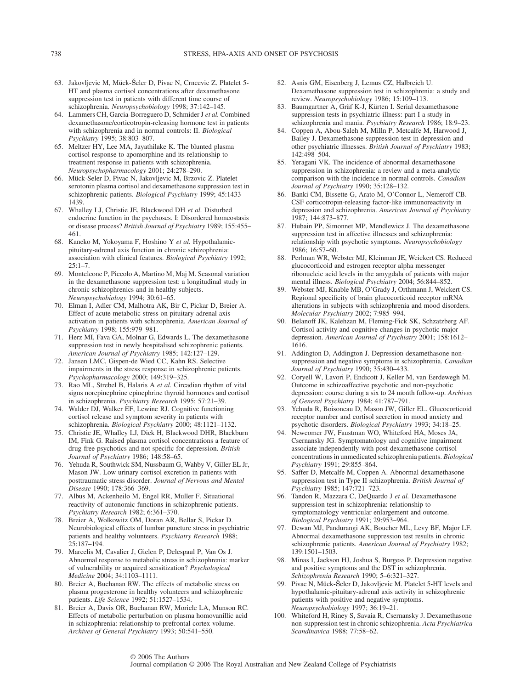- 63. Jakovljevic M, Mück-Šeler D, Pivac N, Crncevic Z, Platelet 5-HT and plasma cortisol concentrations after dexamethasone suppression test in patients with different time course of schizophrenia. *Neuropsychobiology* 1998; 37:142–145.
- 64. Lammers CH, Garcia-Borreguero D, Schmider J *et al.* Combined dexamethasone/corticotropin-releasing hormone test in patients with schizophrenia and in normal controls: II. *Biological Psychiatry* 1995; 38:803–807.
- 65. Meltzer HY, Lee MA, Jayathilake K. The blunted plasma cortisol response to apomorphine and its relationship to treatment response in patients with schizophrenia. *Neuropsychopharmacology* 2001; 24:278–290.
- 66. Mück-Seler D, Pivac N, Jakovljevic M, Brzovic Z. Platelet serotonin plasma cortisol and dexamethasone suppression test in schizophrenic patients. *Biological Psychiatry* 1999; 45:1433– 1439.
- 67. Whalley LJ, Christie JE, Blackwood DH *et al.* Disturbed endocrine function in the psychoses. I: Disordered homeostasis or disease process? *British Journal of Psychiatry* 1989; 155:455– 461.
- 68. Kaneko M, Yokoyama F, Hoshino Y *et al.* Hypothalamicpituitary-adrenal axis function in chronic schizophrenia: association with clinical features. *Biological Psychiatry* 1992;  $25:1 - 7$ .
- 69. Monteleone P, Piccolo A, Martino M, Maj M. Seasonal variation in the dexamethasone suppression test: a longitudinal study in chronic schizophrenics and in healthy subjects. *Neuropsychobiology* 1994; 30:61–65.
- 70. Elman I, Adler CM, Malhotra AK, Bir C, Pickar D, Breier A. Effect of acute metabolic stress on pituitary-adrenal axis activation in patients with schizophrenia. *American Journal of Psychiatry* 1998; 155:979–981.
- 71. Herz MI, Fava GA, Molnar G, Edwards L. The dexamethasone suppression test in newly hospitalised schizophrenic patients. *American Journal of Psychiatry* 1985; 142:127–129.
- 72. Jansen LMC, Gispen-de Wied CC, Kahn RS. Selective impairments in the stress response in schizophrenic patients. *Psychopharmacology* 2000; 149:319–325.
- 73. Rao ML, Strebel B, Halaris A *et al.* Circadian rhythm of vital signs norepinephrine epinephrine thyroid hormones and cortisol in schizophrenia. *Psychiatry Research* 1995; 57:21–39.
- 74. Walder DJ, Walker EF, Lewine RJ. Cognitive functioning cortisol release and symptom severity in patients with schizophrenia. *Biological Psychiatry* 2000; 48:1121–1132.
- 75. Christie JE, Whalley LJ, Dick H, Blackwood DHR, Blackburn IM, Fink G. Raised plasma cortisol concentrations a feature of drug-free psychotics and not specific for depression. *British Journal of Psychiatry* 1986; 148:58–65.
- 76. Yehuda R, Southwick SM, Nussbaum G, Wahby V, Giller EL Jr, Mason JW. Low urinary cortisol excretion in patients with posttraumatic stress disorder. *Journal of Nervous and Mental Disease* 1990; 178:366–369.
- 77. Albus M, Ackenheilo M, Engel RR, Muller F. Situational reactivity of autonomic functions in schizophrenic patients. *Psychiatry Research* 1982; 6:361–370.
- 78. Breier A, Wolkowitz OM, Doran AR, Bellar S, Pickar D. Neurobiological effects of lumbar puncture stress in psychiatric patients and healthy volunteers. *Psychiatry Research* 1988; 25:187–194.
- 79. Marcelis M, Cavalier J, Gielen P, Delespaul P, Van Os J. Abnormal response to metabolic stress in schizophrenia: marker of vulnerability or acquired sensitization? *Psychological Medicine* 2004; 34:1103–1111.
- 80. Breier A, Buchanan RW. The effects of metabolic stress on plasma progesterone in healthy volunteers and schizophrenic patients. *Life Science* 1992; 51:1527–1534.
- 81. Breier A, Davis OR, Buchanan RW, Moricle LA, Munson RC. Effects of metabolic perturbation on plasma homovanillic acid in schizophrenia: relationship to prefrontal cortex volume. *Archives of General Psychiatry* 1993; 50:541–550.
- 82. Asnis GM, Eisenberg J, Lemus CZ, Halbreich U. Dexamethasone suppression test in schizophrenia: a study and review. *Neuropsychobiology* 1986; 15:109–113.
- 83. Baumgartner A, Gräf K-J, Kürten I. Serial dexamethasone suppression tests in psychiatric illness: part I a study in schizophrenia and mania. *Psychiatry Research* 1986; 18:9–23.
- 84. Coppen A, Abou-Saleh M, Milln P, Metcalfe M, Harwood J, Bailey J. Dexamethasone suppression test in depression and other psychiatric illnesses. *British Journal of Psychiatry* 1983; 142:498–504.
- 85. Yeragani VK. The incidence of abnormal dexamethasone suppression in schizophrenia: a review and a meta-analytic comparison with the incidence in normal controls. *Canadian Journal of Psychiatry* 1990; 35:128–132.
- 86. Banki CM, Bissette G, Arato M, O'Connor L, Nemeroff CB. CSF corticotropin-releasing factor-like immunoreactivity in depression and schizophrenia. *American Journal of Psychiatry* 1987; 144:873–877.
- 87. Hubain PP, Simonnet MP, Mendlewicz J. The dexamethasone suppression test in affective illnesses and schizophrenia: relationship with psychotic symptoms. *Neuropsychobiology* 1986; 16:57–60.
- 88. Perlman WR, Webster MJ, Kleinman JE, Weickert CS. Reduced glucocorticoid and estrogen receptor alpha messenger ribonucleic acid levels in the amygdala of patients with major mental illness. *Biological Psychiatry* 2004; 56:844–852.
- Webster MJ, Knable MB, O'Grady J, Orthmann J, Weickert CS. Regional specificity of brain glucocorticoid receptor mRNA alterations in subjects with schizophrenia and mood disorders. *Molecular Psychiatry* 2002; 7:985–994.
- Belanoff JK, Kalehzan M, Fleming-Fick SK, Schzatzberg AF. Cortisol activity and cognitive changes in psychotic major depression. *American Journal of Psychiatry* 2001; 158:1612– 1616.
- 91. Addington D, Addington J. Depression dexamethasone nonsuppression and negative symptoms in schizophrenia. *Canadian Journal of Psychiatry* 1990; 35:430–433.
- 92. Coryell W, Lavori P, Endicott J, Keller M, van Eerdewegh M. Outcome in schizoaffective psychotic and non-psychotic depression: course during a six to 24 month follow-up. *Archives of General Psychiatry* 1984; 41:787–791.
- 93. Yehuda R, Boisoneau D, Mason JW, Giller EL. Glucocorticoid receptor number and cortisol secretion in mood anxiety and psychotic disorders. *Biological Psychiatry* 1993; 34:18–25.
- 94. Newcomer JW, Faustman WO, Whiteford HA, Moses JA, Csernansky JG. Symptomatology and cognitive impairment associate independently with post-dexamethasone cortisol concentrations in unmedicated schizophrenia patients. *Biological Psychiatry* 1991; 29:855–864.
- 95. Saffer D, Metcalfe M, Coppen A. Abnormal dexamethasone suppression test in Type II schizophrenia. *British Journal of Psychiatry* 1985; 147:721–723.
- 96. Tandon R, Mazzara C, DeQuardo J *et al.* Dexamethasone suppression test in schizophrenia: relationship to symptomatology ventricular enlargement and outcome. *Biological Psychiatry* 1991; 29:953–964.
- 97. Dewan MJ, Pandurangi AK, Boucher ML, Levy BF, Major LF. Abnormal dexamethasone suppression test results in chronic schizophrenic patients. *American Journal of Psychiatry* 1982; 139:1501–1503.
- 98. Minas I, Jackson HJ, Joshua S, Burgess P. Depression negative and positive symptoms and the DST in schizophrenia. *Schizophrenia Research* 1990; 5–6:321–327.
- 99. Pivac N, Mück-Šeler D, Jakovljevic M. Platelet 5-HT levels and hypothalamic-pituitary-adrenal axis activity in schizophrenic patients with positive and negative symptoms. *Neuropsychobiology* 1997; 36:19–21.
- 100. Whiteford H, Riney S, Savaia R, Csernansky J. Dexamethasone non-suppression test in chronic schizophrenia. *Acta Psychiatrica Scandinavica* 1988; 77:58–62.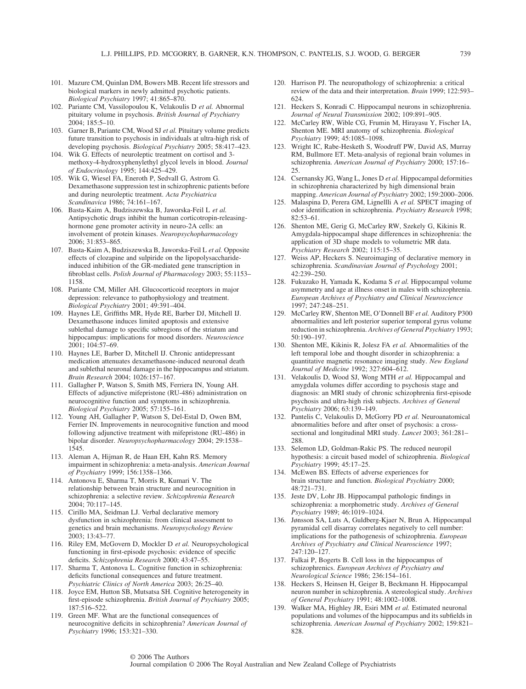- 101. Mazure CM, Quinlan DM, Bowers MB. Recent life stressors and biological markers in newly admitted psychotic patients. *Biological Psychiatry* 1997; 41:865–870.
- 102. Pariante CM, Vassilopoulou K, Velakoulis D *et al.* Abnormal pituitary volume in psychosis. *British Journal of Psychiatry*  $2004: 185:5-10.$
- 103. Garner B, Pariante CM, Wood SJ *et al.* Pituitary volume predicts future transition to psychosis in individuals at ultra-high risk of developing psychosis. *Biological Psychiatry* 2005; 58:417–423.
- 104. Wik G. Effects of neuroleptic treatment on cortisol and 3 methoxy-4-hydroxyphenylethyl glycol levels in blood. *Journal of Endocrinology* 1995; 144:425–429.
- 105. Wik G, Wiesel FA, Eneroth P, Sedvall G, Astrom G. Dexamethasone suppression test in schizophrenic patients before and during neuroleptic treatment. *Acta Psychiatrica Scandinavica* 1986; 74:161–167.
- 106. Basta-Kaim A, Budziszewska B, Jaworska-Feil L *et al.* Antipsychotic drugs inhibit the human corticotropin-releasinghormone gene promoter activity in neuro-2A cells: an involvement of protein kinases. *Neuropsychopharmacology* 2006; 31:853–865.
- 107. Basta-Kaim A, Budziszewska B, Jaworska-Feil L *et al.* Opposite effects of clozapine and sulpiride on the lipopolysaccharideinduced inhibition of the GR-mediated gene transcription in fibroblast cells. *Polish Journal of Pharmacology* 2003; 55:1153– 1158.
- 108. Pariante CM, Miller AH. Glucocorticoid receptors in major depression: relevance to pathophysiology and treatment. *Biological Psychiatry* 2001; 49:391–404.
- 109. Haynes LE, Griffiths MR, Hyde RE, Barber DJ, Mitchell IJ. Dexamethasone induces limited apoptosis and extensive sublethal damage to specific subregions of the striatum and hippocampus: implications for mood disorders. *Neuroscience* 2001; 104:57–69.
- 110. Haynes LE, Barber D, Mitchell IJ. Chronic antidepressant medication attenuates dexamethasone-induced neuronal death and sublethal neuronal damage in the hippocampus and striatum. *Brain Research* 2004; 1026:157–167.
- 111. Gallagher P, Watson S, Smith MS, Ferriera IN, Young AH. Effects of adjunctive mifepristone (RU-486) administration on neurocognitive function and symptoms in schizophrenia. *Biological Psychiatry* 2005; 57:155–161.
- 112. Young AH, Gallagher P, Watson S, Del-Estal D, Owen BM, Ferrier IN. Improvements in neurocognitive function and mood following adjunctive treatment with mifepristone (RU-486) in bipolar disorder. *Neuropsychopharmacology* 2004; 29:1538– 1545.
- 113. Aleman A, Hijman R, de Haan EH, Kahn RS. Memory impairment in schizophrenia: a meta-analysis. *American Journal of Psychiatry* 1999; 156:1358–1366.
- 114. Antonova E, Sharma T, Morris R, Kumari V. The relationship between brain structure and neurocognition in schizophrenia: a selective review. *Schizophrenia Research* 2004; 70:117–145.
- 115. Cirillo MA, Seidman LJ. Verbal declarative memory dysfunction in schizophrenia: from clinical assessment to genetics and brain mechanisms. *Neuropsychology Review* 2003; 13:43–77.
- 116. Riley EM, McGovern D, Mockler D *et al.* Neuropsychological functioning in first-episode psychosis: evidence of specific deficits. *Schizophrenia Research* 2000; 43:47–55.
- 117. Sharma T, Antonova L. Cognitive function in schizophrenia: deficits functional consequences and future treatment. *Psychiatric Clinics of North America* 2003; 26:25–40.
- 118. Joyce EM, Hutton SB, Mutsatsa SH. Cognitive heterogeneity in first-episode schizophrenia. *British Journal of Psychiatry* 2005; 187:516–522.
- 119. Green MF. What are the functional consequences of neurocognitive deficits in schizophrenia? *American Journal of Psychiatry* 1996; 153:321–330.
- 120. Harrison PJ. The neuropathology of schizophrenia: a critical review of the data and their interpretation. *Brain* 1999; 122:593– 624.
- 121. Heckers S, Konradi C. Hippocampal neurons in schizophrenia. *Journal of Neural Transmission* 2002; 109:891–905.
- 122. McCarley RW, Wible CG, Frumin M, Hirayasu Y, Fischer IA, Shenton ME. MRI anatomy of schizophrenia. *Biological Psychiatry* 1999; 45:1085–1098.
- 123. Wright IC, Rabe-Hesketh S, Woodruff PW, David AS, Murray RM, Bullmore ET. Meta-analysis of regional brain volumes in schizophrenia. *American Journal of Psychiatry* 2000; 157:16– 25.
- 124. Csernansky JG, Wang L, Jones D *et al.* Hippocampal deformities in schizophrenia characterized by high dimensional brain mapping. *American Journal of Psychiatry* 2002; 159:2000–2006.
- 125. Malaspina D, Perera GM, Lignellli A *et al.* SPECT imaging of odor identification in schizophrenia. *Psychiatry Research* 1998; 82:53–61.
- 126. Shenton ME, Gerig G, McCarley RW, Szekely G, Kikinis R. Amygdala-hippocampal shape differences in schizophrenia: the application of 3D shape models to volumetric MR data. *Psychiatry Research* 2002; 115:15–35.
- 127. Weiss AP, Heckers S. Neuroimaging of declarative memory in schizophrenia. *Scandinavian Journal of Psychology* 2001; 42:239–250.
- 128. Fukuzako H, Yamada K, Kodama S *et al.* Hippocampal volume asymmetry and age at illness onset in males with schizophrenia. *European Archives of Psychiatry and Clinical Neuroscience* 1997; 247:248–251.
- 129. McCarley RW, Shenton ME, O'Donnell BF *et al.* Auditory P300 abnormalities and left posterior superior temporal gyrus volume reduction in schizophrenia. *Archives of General Psychiatry* 1993; 50:190–197.
- 130. Shenton ME, Kikinis R, Jolesz FA *et al.* Abnormalities of the left temporal lobe and thought disorder in schizophrenia: a quantitative magnetic resonance imaging study. *New England Journal of Medicine* 1992; 327:604–612.
- 131. Velakoulis D, Wood SJ, Wong MTH *et al.* Hippocampal and amygdala volumes differ according to psychosis stage and diagnosis: an MRI study of chronic schizophrenia first-episode psychosis and ultra-high risk subjects. *Archives of General Psychiatry* 2006; 63:139–149.
- 132. Pantelis C, Velakoulis D, McGorry PD *et al.* Neuroanatomical abnormalities before and after onset of psychosis: a crosssectional and longitudinal MRI study. *Lancet* 2003; 361:281– 288.
- 133. Selemon LD, Goldman-Rakic PS. The reduced neuropil hypothesis: a circuit based model of schizophrenia. *Biological Psychiatry* 1999; 45:17–25.
- 134. McEwen BS. Effects of adverse experiences for brain structure and function. *Biological Psychiatry* 2000; 48:721–731.
- 135. Jeste DV, Lohr JB. Hippocampal pathologic findings in schizophrenia: a morphometric study. *Archives of General Psychiatry* 1989; 46:1019–1024.
- 136. Jønsson SA, Luts A, Guldberg-Kjaer N, Brun A. Hippocampal pyramidal cell disarray correlates negatively to cell number: implications for the pathogenesis of schizophrenia. *European Archives of Psychiatry and Clinical Neuroscience* 1997; 247:120–127.
- 137. Falkai P, Bogerts B. Cell loss in the hippocampus of schizophrenics. *European Archives of Psychiatry and Neurological Science* 1986; 236:154–161.
- 138. Heckers S, Heinsen H, Geiger B, Beckmann H. Hippocampal neuron number in schizophrenia. A stereological study. *Archives of General Psychiatry* 1991; 48:1002–1008.
- 139. Walker MA, Highley JR, Esiri MM *et al.* Estimated neuronal populations and volumes of the hippocampus and its subfields in schizophrenia. *American Journal of Psychiatry* 2002; 159:821– 828.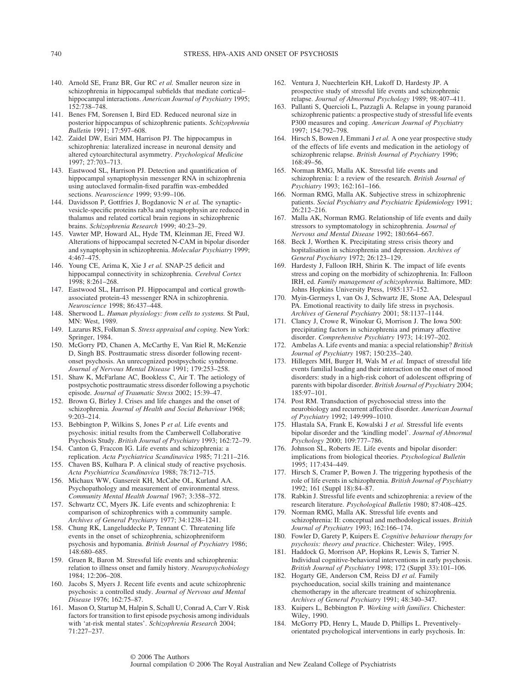- 140. Arnold SE, Franz BR, Gur RC *et al.* Smaller neuron size in schizophrenia in hippocampal subfields that mediate cortical– hippocampal interactions. *American Journal of Psychiatry* 1995; 152:738–748.
- 141. Benes FM, Sorensen I, Bird ED. Reduced neuronal size in posterior hippocampus of schizophrenic patients. *Schizophrenia Bulletin* 1991; 17:597–608.
- 142. Zaidel DW, Esiri MM, Harrison PJ. The hippocampus in schizophrenia: lateralized increase in neuronal density and altered cytoarchitectural asymmetry. *Psychological Medicine* 1997; 27:703–713.
- 143. Eastwood SL, Harrison PJ. Detection and quantification of hippocampal synaptophysin messenger RNA in schizophrenia using autoclaved formalin-fixed paraffin wax-embedded sections. *Neuroscience* 1999; 93:99–106.
- 144. Davidsson P, Gottfries J, Bogdanovic N *et al.* The synapticvesicle-specific proteins rab3a and synaptophysin are reduced in thalamus and related cortical brain regions in schizophrenic brains. *Schizophrenia Research* 1999; 40:23–29.
- 145. Vawter MP, Howard AL, Hyde TM, Kleinman JE, Freed WJ. Alterations of hippocampal secreted N-CAM in bipolar disorder and synaptophysin in schizophrenia. *Molecular Psychiatry* 1999;  $4.467 - 475$ .
- 146. Young CE, Arima K, Xie J *et al.* SNAP-25 deficit and hippocampal connectivity in schizophrenia. *Cerebral Cortex* 1998; 8:261–268.
- 147. Eastwood SL, Harrison PJ. Hippocampal and cortical growthassociated protein-43 messenger RNA in schizophrenia. *Neuroscience* 1998; 86:437–448.
- 148. Sherwood L. *Human physiology: from cells to systems.* St Paul, MN: West, 1989.
- 149. Lazarus RS, Folkman S. *Stress appraisal and coping.* New York: Springer, 1984.
- 150. McGorry PD, Chanen A, McCarthy E, Van Riel R, McKenzie D, Singh BS. Posttraumatic stress disorder following recentonset psychosis. An unrecognized postpsychotic syndrome. *Journal of Nervous Mental Disease* 1991; 179:253–258.
- 151. Shaw K, McFarlane AC, Bookless C, Air T. The aetiology of postpsychotic posttraumatic stress disorder following a psychotic episode. *Journal of Traumatic Stress* 2002; 15:39–47.
- 152. Brown G, Birley J. Crises and life changes and the onset of schizophrenia. *Journal of Health and Social Behaviour* 1968; 9:203–214.
- 153. Bebbington P, Wilkins S, Jones P *et al.* Life events and psychosis: initial results from the Camberwell Collaborative Psychosis Study. *British Journal of Psychiatry* 1993; 162:72–79.
- 154. Canton G, Fraccon IG. Life events and schizophrenia: a replication. *Acta Psychiatrica Scandinavica* 1985; 71:211–216.
- 155. Chaven BS, Kulhara P. A clinical study of reactive psychosis. *Acta Psychiatrica Scandinavica* 1988; 78:712–715.
- 156. Michaux WW, Gansereit KH, McCabe OL, Kurland AA. Psychopathology and measurement of environmental stress. *Community Mental Health Journal* 1967; 3:358–372.
- 157. Schwartz CC, Myers JK. Life events and schizophrenia: I: comparison of schizophrenics with a community sample. *Archives of General Psychiatry* 1977; 34:1238–1241.
- 158. Chung RK, Langeluddecke P, Tennant C. Threatening life events in the onset of schizophrenia, schizophreniform psychosis and hypomania. *British Journal of Psychiatry* 1986; 148:680–685.
- 159. Gruen R, Baron M. Stressful life events and schizophrenia: relation to illness onset and family history. *Neuropsychobiology* 1984; 12:206–208.
- 160. Jacobs S, Myers J. Recent life events and acute schizophrenic psychosis: a controlled study. *Journal of Nervous and Mental Disease* 1976; 162:75–87.
- 161. Mason O, Startup M, Halpin S, Schall U, Conrad A, Carr V. Risk factors for transition to first episode psychosis among individuals with 'at-risk mental states'. *Schizophrenia Research* 2004; 71:227–237.
- 162. Ventura J, Nuechterlein KH, Lukoff D, Hardesty JP. A prospective study of stressful life events and schizophrenic relapse. *Journal of Abnormal Psychology* 1989; 98:407–411.
- 163. Pallanti S, Quercioli L, Pazzagli A. Relapse in young paranoid schizophrenic patients: a prospective study of stressful life events P300 measures and coping. *American Journal of Psychiatry* 1997; 154:792–798.
- 164. Hirsch S, Bowen J, Emmani J *et al.* A one year prospective study of the effects of life events and medication in the aetiology of schizophrenic relapse. *British Journal of Psychiatry* 1996; 168:49–56.
- 165. Norman RMG, Malla AK. Stressful life events and schizophrenia: I: a review of the research. *British Journal of Psychiatry* 1993; 162:161–166.
- 166. Norman RMG, Malla AK. Subjective stress in schizophrenic patients. *Social Psychiatry and Psychiatric Epidemiology* 1991; 26:212–216.
- 167. Malla AK, Norman RMG. Relationship of life events and daily stressors to symptomatology in schizophrenia. *Journal of Nervous and Mental Disease* 1992; 180:664–667.
- 168. Beck J, Worthen K. Precipitating stress crisis theory and hopitalisation in schizophrenia and depression. *Archives of General Psychiatry* 1972; 26:123–129.
- 169. Hardesty J, Falloon IRH, Shirin K. The impact of life events stress and coping on the morbidity of schizophrenia. In: Falloon IRH, ed. *Family management of schizophrenia.* Baltimore, MD: Johns Hopkins University Press, 1985:137–152.
- 170. Myin-Germeys I, van Os J, Schwartz JE, Stone AA, Delespaul PA. Emotional reactivity to daily life stress in psychosis. *Archives of General Psychiatry* 2001; 58:1137–1144.
- 171. Clancy J, Crowe R, Winokur G, Morrison J. The Iowa 500: precipitating factors in schizophrenia and primary affective disorder. *Comprehensive Psychiatry* 1973; 14:197–202.
- 172. Ambelas A. Life events and mania: a special relationship? *British Journal of Psychiatry* 1987; 150:235–240.
- 173. Hillegers MH, Burger H, Wals M *et al.* Impact of stressful life events familial loading and their interaction on the onset of mood disorders: study in a high-risk cohort of adolescent offspring of parents with bipolar disorder. *British Journal of Psychiatry* 2004; 185:97–101.
- 174. Post RM. Transduction of psychosocial stress into the neurobiology and recurrent affective disorder. *American Journal of Psychiatry* 1992; 149:999–1010.
- 175. Hlastala SA, Frank E, Kowalski J *et al.* Stressful life events bipolar disorder and the 'kindling model'. *Journal of Abnormal Psychology* 2000; 109:777–786.
- 176. Johnson SL, Roberts JE. Life events and bipolar disorder: implications from biological theories. *Psychological Bulletin* 1995; 117:434–449.
- 177. Hirsch S, Cramer P, Bowen J. The triggering hypothesis of the role of life events in schizophrenia. *British Journal of Psychiatry* 1992; 161 (Suppl 18):84–87.
- 178. Rabkin J. Stressful life events and schizophrenia: a review of the research literature. *Psychological Bulletin* 1980; 87:408–425.
- 179. Norman RMG, Malla AK. Stressful life events and schizophrenia: II: conceptual and methodological issues. *British Journal of Psychiatry* 1993; 162:166–174.
- 180. Fowler D, Garety P, Kuipers E. *Cognitive behaviour therapy for psychosis: theory and practice*. Chichester: Wiley, 1995.
- 181. Haddock G, Morrison AP, Hopkins R, Lewis S, Tarrier N. Individual cognitive-behavioral interventions in early psychosis. *British Journal of Psychiatry* 1998; 172 (Suppl 33):101–106.
- 182. Hogarty GE, Anderson CM, Reiss DJ *et al.* Family psychoeducation, social skills training and maintenance chemotherapy in the aftercare treatment of schizophrenia. *Archives of General Psychiatry* 1991; 48:340–347.
- 183. Kuipers L, Bebbington P. *Working with families*. Chichester: Wiley, 1990.
- 184. McGorry PD, Henry L, Maude D, Phillips L. Preventivelyorientated psychological interventions in early psychosis. In: